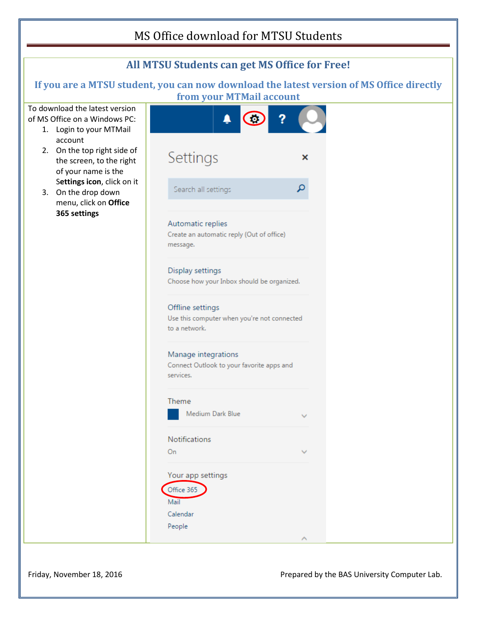## MS Office download for MTSU Students



Friday, November 18, 2016 **Prepared by the BAS University Computer Lab.** Prepared by the BAS University Computer Lab.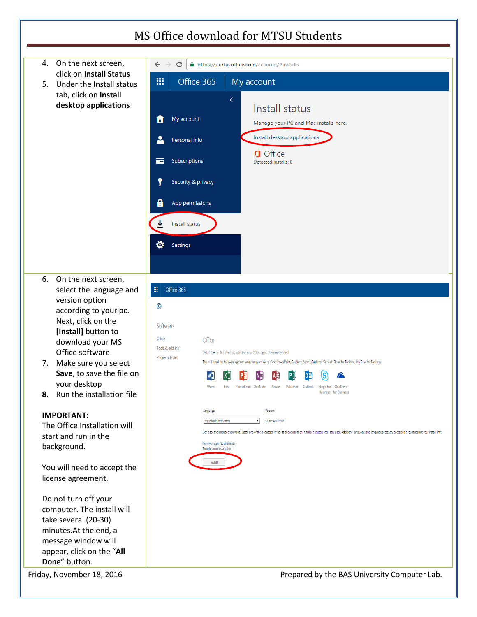